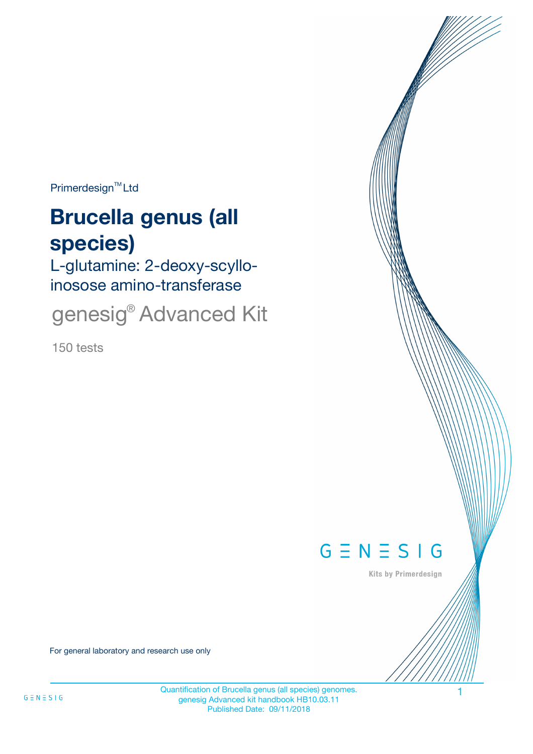$Primerdesign^{\text{TM}}$ Ltd

# **Brucella genus (all species)**

L-glutamine: 2-deoxy-scylloinosose amino-transferase

genesig<sup>®</sup> Advanced Kit

150 tests



Kits by Primerdesign

For general laboratory and research use only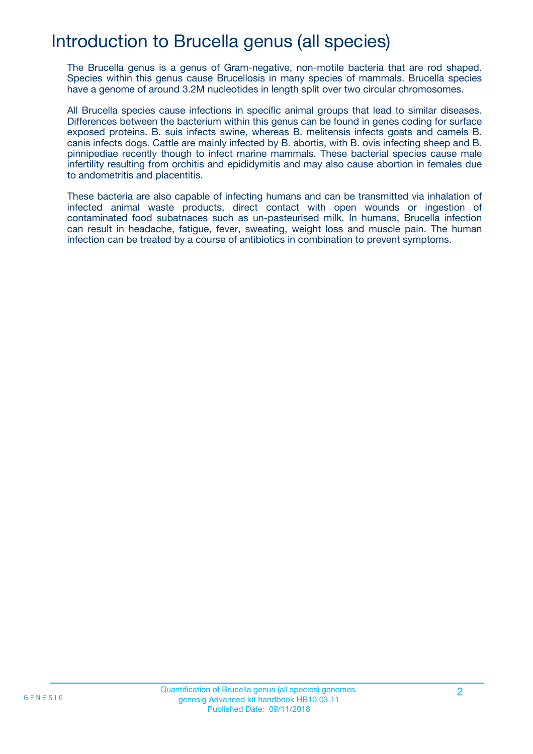## Introduction to Brucella genus (all species)

The Brucella genus is a genus of Gram-negative, non-motile bacteria that are rod shaped. Species within this genus cause Brucellosis in many species of mammals. Brucella species have a genome of around 3.2M nucleotides in length split over two circular chromosomes.

All Brucella species cause infections in specific animal groups that lead to similar diseases. Differences between the bacterium within this genus can be found in genes coding for surface exposed proteins. B. suis infects swine, whereas B. melitensis infects goats and camels B. canis infects dogs. Cattle are mainly infected by B. abortis, with B. ovis infecting sheep and B. pinnipediae recently though to infect marine mammals. These bacterial species cause male infertility resulting from orchitis and epididymitis and may also cause abortion in females due to andometritis and placentitis.

These bacteria are also capable of infecting humans and can be transmitted via inhalation of infected animal waste products, direct contact with open wounds or ingestion of contaminated food subatnaces such as un-pasteurised milk. In humans, Brucella infection can result in headache, fatigue, fever, sweating, weight loss and muscle pain. The human infection can be treated by a course of antibiotics in combination to prevent symptoms.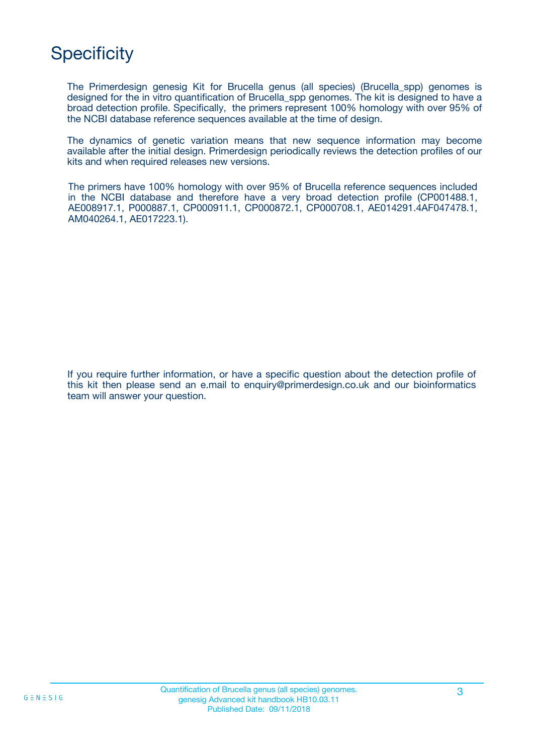## **Specificity**

The Primerdesign genesig Kit for Brucella genus (all species) (Brucella\_spp) genomes is designed for the in vitro quantification of Brucella\_spp genomes. The kit is designed to have a broad detection profile. Specifically, the primers represent 100% homology with over 95% of the NCBI database reference sequences available at the time of design.

The dynamics of genetic variation means that new sequence information may become available after the initial design. Primerdesign periodically reviews the detection profiles of our kits and when required releases new versions.

The primers have 100% homology with over 95% of Brucella reference sequences included in the NCBI database and therefore have a very broad detection profile (CP001488.1, AE008917.1, P000887.1, CP000911.1, CP000872.1, CP000708.1, AE014291.4AF047478.1, AM040264.1, AE017223.1).

If you require further information, or have a specific question about the detection profile of this kit then please send an e.mail to enquiry@primerdesign.co.uk and our bioinformatics team will answer your question.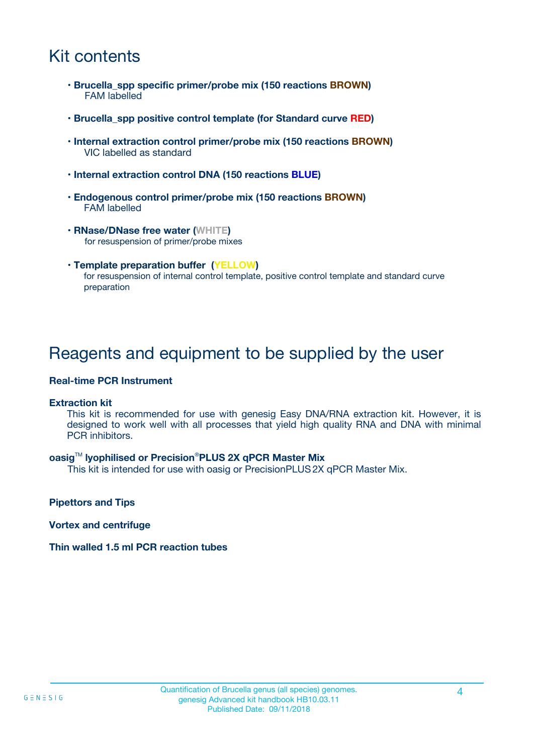## Kit contents

- **Brucella\_spp specific primer/probe mix (150 reactions BROWN)** FAM labelled
- **Brucella\_spp positive control template (for Standard curve RED)**
- **Internal extraction control primer/probe mix (150 reactions BROWN)** VIC labelled as standard
- **Internal extraction control DNA (150 reactions BLUE)**
- **Endogenous control primer/probe mix (150 reactions BROWN)** FAM labelled
- **RNase/DNase free water (WHITE)** for resuspension of primer/probe mixes
- **Template preparation buffer (YELLOW)** for resuspension of internal control template, positive control template and standard curve preparation

### Reagents and equipment to be supplied by the user

#### **Real-time PCR Instrument**

#### **Extraction kit**

This kit is recommended for use with genesig Easy DNA/RNA extraction kit. However, it is designed to work well with all processes that yield high quality RNA and DNA with minimal PCR inhibitors.

#### **oasig**TM **lyophilised or Precision**®**PLUS 2X qPCR Master Mix**

This kit is intended for use with oasig or PrecisionPLUS2X qPCR Master Mix.

**Pipettors and Tips**

**Vortex and centrifuge**

#### **Thin walled 1.5 ml PCR reaction tubes**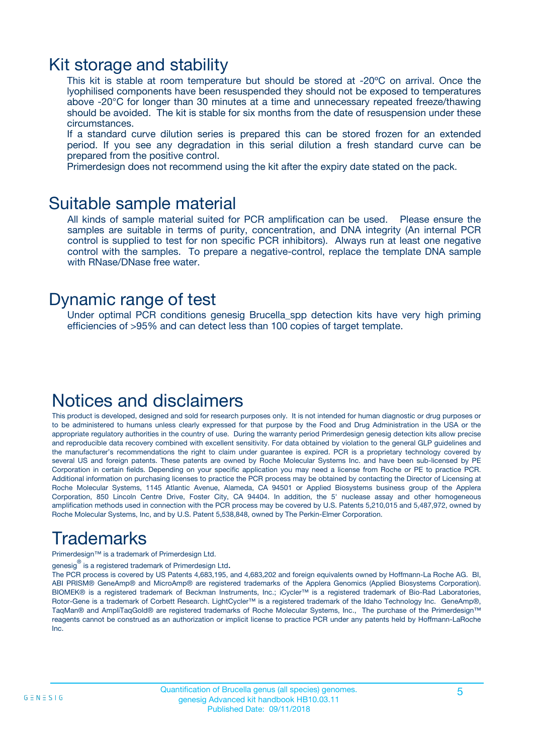### Kit storage and stability

This kit is stable at room temperature but should be stored at -20ºC on arrival. Once the lyophilised components have been resuspended they should not be exposed to temperatures above -20°C for longer than 30 minutes at a time and unnecessary repeated freeze/thawing should be avoided. The kit is stable for six months from the date of resuspension under these circumstances.

If a standard curve dilution series is prepared this can be stored frozen for an extended period. If you see any degradation in this serial dilution a fresh standard curve can be prepared from the positive control.

Primerdesign does not recommend using the kit after the expiry date stated on the pack.

### Suitable sample material

All kinds of sample material suited for PCR amplification can be used. Please ensure the samples are suitable in terms of purity, concentration, and DNA integrity (An internal PCR control is supplied to test for non specific PCR inhibitors). Always run at least one negative control with the samples. To prepare a negative-control, replace the template DNA sample with RNase/DNase free water.

### Dynamic range of test

Under optimal PCR conditions genesig Brucella\_spp detection kits have very high priming efficiencies of >95% and can detect less than 100 copies of target template.

### Notices and disclaimers

This product is developed, designed and sold for research purposes only. It is not intended for human diagnostic or drug purposes or to be administered to humans unless clearly expressed for that purpose by the Food and Drug Administration in the USA or the appropriate regulatory authorities in the country of use. During the warranty period Primerdesign genesig detection kits allow precise and reproducible data recovery combined with excellent sensitivity. For data obtained by violation to the general GLP guidelines and the manufacturer's recommendations the right to claim under guarantee is expired. PCR is a proprietary technology covered by several US and foreign patents. These patents are owned by Roche Molecular Systems Inc. and have been sub-licensed by PE Corporation in certain fields. Depending on your specific application you may need a license from Roche or PE to practice PCR. Additional information on purchasing licenses to practice the PCR process may be obtained by contacting the Director of Licensing at Roche Molecular Systems, 1145 Atlantic Avenue, Alameda, CA 94501 or Applied Biosystems business group of the Applera Corporation, 850 Lincoln Centre Drive, Foster City, CA 94404. In addition, the 5' nuclease assay and other homogeneous amplification methods used in connection with the PCR process may be covered by U.S. Patents 5,210,015 and 5,487,972, owned by Roche Molecular Systems, Inc, and by U.S. Patent 5,538,848, owned by The Perkin-Elmer Corporation.

## Trademarks

Primerdesign™ is a trademark of Primerdesign Ltd.

genesig $^\circledR$  is a registered trademark of Primerdesign Ltd.

The PCR process is covered by US Patents 4,683,195, and 4,683,202 and foreign equivalents owned by Hoffmann-La Roche AG. BI, ABI PRISM® GeneAmp® and MicroAmp® are registered trademarks of the Applera Genomics (Applied Biosystems Corporation). BIOMEK® is a registered trademark of Beckman Instruments, Inc.; iCycler™ is a registered trademark of Bio-Rad Laboratories, Rotor-Gene is a trademark of Corbett Research. LightCycler™ is a registered trademark of the Idaho Technology Inc. GeneAmp®, TaqMan® and AmpliTaqGold® are registered trademarks of Roche Molecular Systems, Inc., The purchase of the Primerdesign™ reagents cannot be construed as an authorization or implicit license to practice PCR under any patents held by Hoffmann-LaRoche Inc.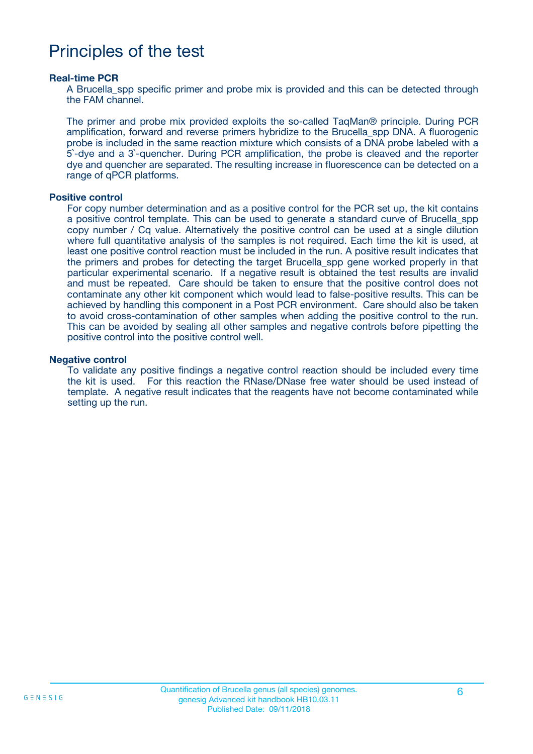## Principles of the test

#### **Real-time PCR**

A Brucella spp specific primer and probe mix is provided and this can be detected through the FAM channel.

The primer and probe mix provided exploits the so-called TaqMan® principle. During PCR amplification, forward and reverse primers hybridize to the Brucella\_spp DNA. A fluorogenic probe is included in the same reaction mixture which consists of a DNA probe labeled with a 5`-dye and a 3`-quencher. During PCR amplification, the probe is cleaved and the reporter dye and quencher are separated. The resulting increase in fluorescence can be detected on a range of qPCR platforms.

#### **Positive control**

For copy number determination and as a positive control for the PCR set up, the kit contains a positive control template. This can be used to generate a standard curve of Brucella\_spp copy number / Cq value. Alternatively the positive control can be used at a single dilution where full quantitative analysis of the samples is not required. Each time the kit is used, at least one positive control reaction must be included in the run. A positive result indicates that the primers and probes for detecting the target Brucella\_spp gene worked properly in that particular experimental scenario. If a negative result is obtained the test results are invalid and must be repeated. Care should be taken to ensure that the positive control does not contaminate any other kit component which would lead to false-positive results. This can be achieved by handling this component in a Post PCR environment. Care should also be taken to avoid cross-contamination of other samples when adding the positive control to the run. This can be avoided by sealing all other samples and negative controls before pipetting the positive control into the positive control well.

#### **Negative control**

To validate any positive findings a negative control reaction should be included every time the kit is used. For this reaction the RNase/DNase free water should be used instead of template. A negative result indicates that the reagents have not become contaminated while setting up the run.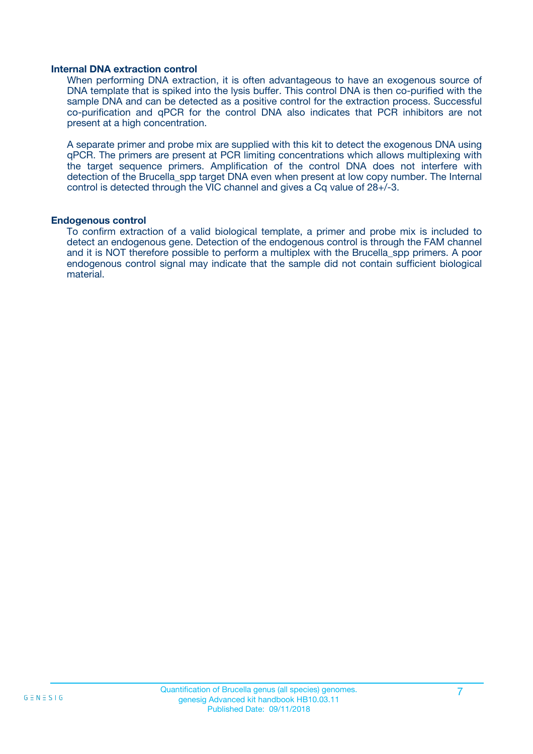#### **Internal DNA extraction control**

When performing DNA extraction, it is often advantageous to have an exogenous source of DNA template that is spiked into the lysis buffer. This control DNA is then co-purified with the sample DNA and can be detected as a positive control for the extraction process. Successful co-purification and qPCR for the control DNA also indicates that PCR inhibitors are not present at a high concentration.

A separate primer and probe mix are supplied with this kit to detect the exogenous DNA using qPCR. The primers are present at PCR limiting concentrations which allows multiplexing with the target sequence primers. Amplification of the control DNA does not interfere with detection of the Brucella spp target DNA even when present at low copy number. The Internal control is detected through the VIC channel and gives a Cq value of 28+/-3.

#### **Endogenous control**

To confirm extraction of a valid biological template, a primer and probe mix is included to detect an endogenous gene. Detection of the endogenous control is through the FAM channel and it is NOT therefore possible to perform a multiplex with the Brucella\_spp primers. A poor endogenous control signal may indicate that the sample did not contain sufficient biological material.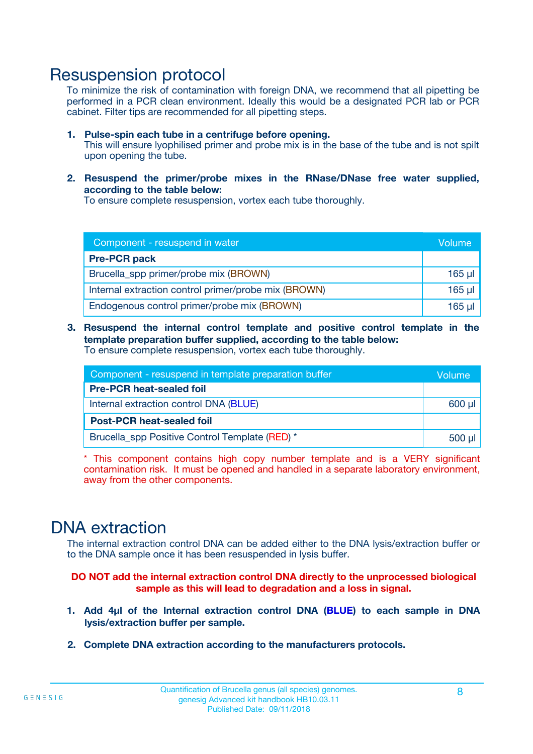### Resuspension protocol

To minimize the risk of contamination with foreign DNA, we recommend that all pipetting be performed in a PCR clean environment. Ideally this would be a designated PCR lab or PCR cabinet. Filter tips are recommended for all pipetting steps.

- **1. Pulse-spin each tube in a centrifuge before opening.** This will ensure lyophilised primer and probe mix is in the base of the tube and is not spilt upon opening the tube.
- **2. Resuspend the primer/probe mixes in the RNase/DNase free water supplied, according to the table below:**

To ensure complete resuspension, vortex each tube thoroughly.

| Component - resuspend in water                       |          |  |
|------------------------------------------------------|----------|--|
| <b>Pre-PCR pack</b>                                  |          |  |
| Brucella_spp primer/probe mix (BROWN)                | $165$ µl |  |
| Internal extraction control primer/probe mix (BROWN) | $165$ µl |  |
| Endogenous control primer/probe mix (BROWN)          | 165 µl   |  |

**3. Resuspend the internal control template and positive control template in the template preparation buffer supplied, according to the table below:** To ensure complete resuspension, vortex each tube thoroughly.

| Component - resuspend in template preparation buffer |  |  |  |
|------------------------------------------------------|--|--|--|
| <b>Pre-PCR heat-sealed foil</b>                      |  |  |  |
| Internal extraction control DNA (BLUE)               |  |  |  |
| <b>Post-PCR heat-sealed foil</b>                     |  |  |  |
| Brucella_spp Positive Control Template (RED) *       |  |  |  |

\* This component contains high copy number template and is a VERY significant contamination risk. It must be opened and handled in a separate laboratory environment, away from the other components.

### DNA extraction

The internal extraction control DNA can be added either to the DNA lysis/extraction buffer or to the DNA sample once it has been resuspended in lysis buffer.

**DO NOT add the internal extraction control DNA directly to the unprocessed biological sample as this will lead to degradation and a loss in signal.**

- **1. Add 4µl of the Internal extraction control DNA (BLUE) to each sample in DNA lysis/extraction buffer per sample.**
- **2. Complete DNA extraction according to the manufacturers protocols.**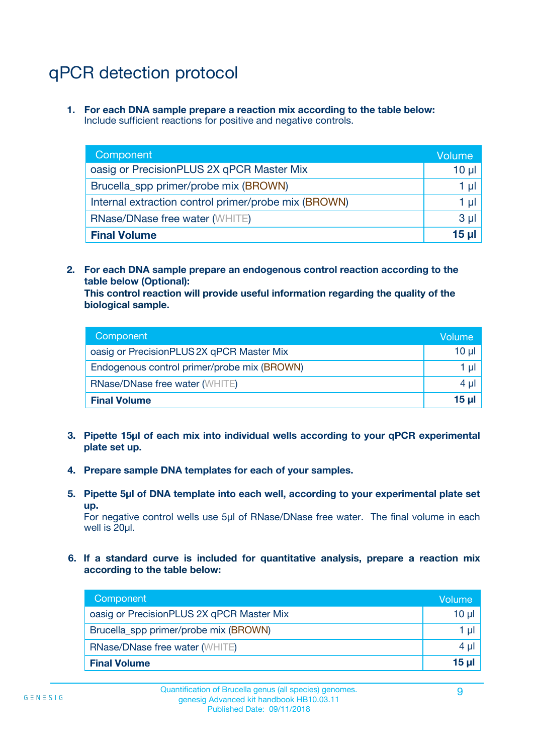## qPCR detection protocol

**1. For each DNA sample prepare a reaction mix according to the table below:** Include sufficient reactions for positive and negative controls.

| Component                                            | Volume   |
|------------------------------------------------------|----------|
| oasig or PrecisionPLUS 2X qPCR Master Mix            | $10 \mu$ |
| Brucella_spp primer/probe mix (BROWN)                | 1 µI l   |
| Internal extraction control primer/probe mix (BROWN) | 1 µl     |
| <b>RNase/DNase free water (WHITE)</b>                | $3 \mu$  |
| <b>Final Volume</b>                                  | 15 µl    |

**2. For each DNA sample prepare an endogenous control reaction according to the table below (Optional):**

**This control reaction will provide useful information regarding the quality of the biological sample.**

| Component                                   | Volume   |
|---------------------------------------------|----------|
| oasig or PrecisionPLUS 2X qPCR Master Mix   | $10 \mu$ |
| Endogenous control primer/probe mix (BROWN) | 1 µI     |
| <b>RNase/DNase free water (WHITE)</b>       | $4 \mu$  |
| <b>Final Volume</b>                         | 15 µl    |

- **3. Pipette 15µl of each mix into individual wells according to your qPCR experimental plate set up.**
- **4. Prepare sample DNA templates for each of your samples.**
- **5. Pipette 5µl of DNA template into each well, according to your experimental plate set up.**

For negative control wells use 5µl of RNase/DNase free water. The final volume in each well is 20ul.

**6. If a standard curve is included for quantitative analysis, prepare a reaction mix according to the table below:**

| Component                                 | Volume   |
|-------------------------------------------|----------|
| oasig or PrecisionPLUS 2X qPCR Master Mix | 10 $\mu$ |
| Brucella_spp primer/probe mix (BROWN)     | 1 µI I   |
| <b>RNase/DNase free water (WHITE)</b>     | $4 \mu$  |
| <b>Final Volume</b>                       | 15 µl    |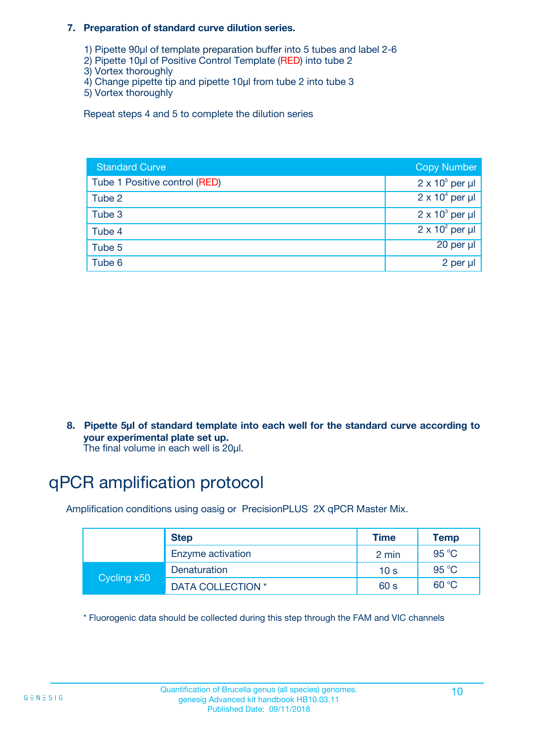#### **7. Preparation of standard curve dilution series.**

- 1) Pipette 90µl of template preparation buffer into 5 tubes and label 2-6
- 2) Pipette 10µl of Positive Control Template (RED) into tube 2
- 3) Vortex thoroughly
- 4) Change pipette tip and pipette 10µl from tube 2 into tube 3
- 5) Vortex thoroughly

Repeat steps 4 and 5 to complete the dilution series

| <b>Standard Curve</b>         | <b>Copy Number</b>     |
|-------------------------------|------------------------|
| Tube 1 Positive control (RED) | $2 \times 10^5$ per µl |
| Tube 2                        | $2 \times 10^4$ per µl |
| Tube 3                        | $2 \times 10^3$ per µl |
| Tube 4                        | $2 \times 10^2$ per µl |
| Tube 5                        | 20 per µl              |
| Tube 6                        | 2 per µl               |

**8. Pipette 5µl of standard template into each well for the standard curve according to your experimental plate set up.**

#### The final volume in each well is 20µl.

## qPCR amplification protocol

Amplification conditions using oasig or PrecisionPLUS 2X qPCR Master Mix.

|             | <b>Step</b>       | <b>Time</b>     | Temp    |
|-------------|-------------------|-----------------|---------|
|             | Enzyme activation | 2 min           | 95 °C   |
| Cycling x50 | Denaturation      | 10 <sub>s</sub> | 95 $°C$ |
|             | DATA COLLECTION * | 60 s            | 60 °C   |

\* Fluorogenic data should be collected during this step through the FAM and VIC channels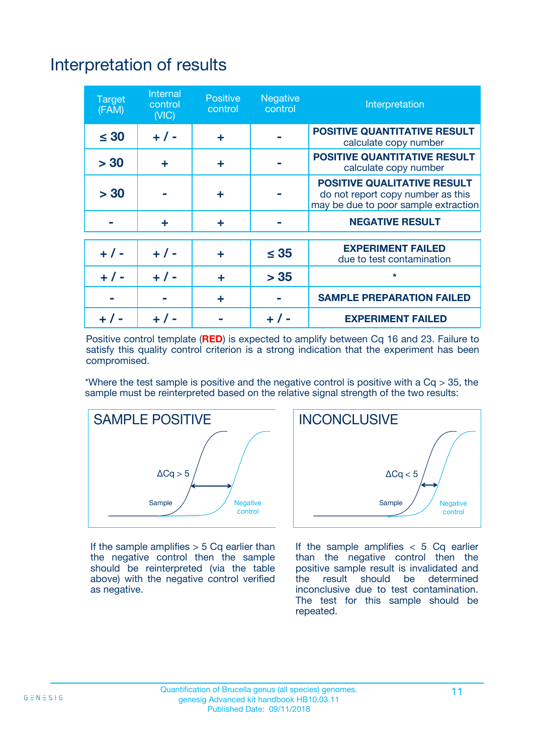## Interpretation of results

| <b>Target</b><br>(FAM) | <b>Internal</b><br>control<br>(NIC) | <b>Positive</b><br>control | <b>Negative</b><br>control | Interpretation                                                                                                  |
|------------------------|-------------------------------------|----------------------------|----------------------------|-----------------------------------------------------------------------------------------------------------------|
| $\leq 30$              | $+ 1 -$                             | ÷                          |                            | <b>POSITIVE QUANTITATIVE RESULT</b><br>calculate copy number                                                    |
| > 30                   | ٠                                   | ÷                          |                            | <b>POSITIVE QUANTITATIVE RESULT</b><br>calculate copy number                                                    |
| > 30                   |                                     | ÷                          |                            | <b>POSITIVE QUALITATIVE RESULT</b><br>do not report copy number as this<br>may be due to poor sample extraction |
|                        | ÷                                   | ÷                          |                            | <b>NEGATIVE RESULT</b>                                                                                          |
| $+ 1 -$                | $+ 1 -$                             | ÷                          | $\leq$ 35                  | <b>EXPERIMENT FAILED</b><br>due to test contamination                                                           |
| $+$ / -                | $+ 1 -$                             | ÷                          | > 35                       | $\star$                                                                                                         |
|                        |                                     | ÷                          |                            | <b>SAMPLE PREPARATION FAILED</b>                                                                                |
|                        |                                     |                            | $+$ /                      | <b>EXPERIMENT FAILED</b>                                                                                        |

Positive control template (**RED**) is expected to amplify between Cq 16 and 23. Failure to satisfy this quality control criterion is a strong indication that the experiment has been compromised.

\*Where the test sample is positive and the negative control is positive with a  $Ca > 35$ , the sample must be reinterpreted based on the relative signal strength of the two results:



If the sample amplifies  $> 5$  Cq earlier than the negative control then the sample should be reinterpreted (via the table above) with the negative control verified as negative.



If the sample amplifies  $< 5$  Cq earlier than the negative control then the positive sample result is invalidated and<br>the result should be determined  $the$  result should be inconclusive due to test contamination. The test for this sample should be repeated.